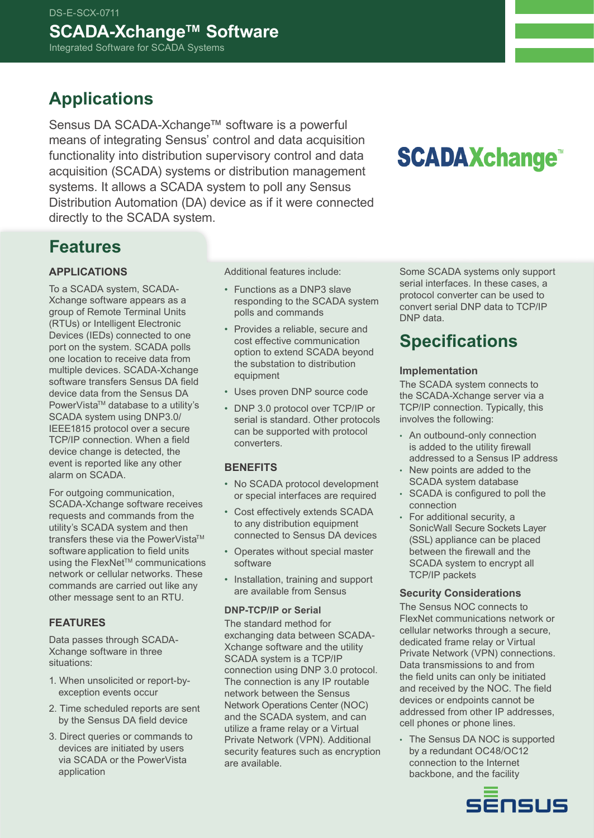### **Applications**

Sensus DA SCADA-Xchange™ software is a powerful means of integrating Sensus' control and data acquisition functionality into distribution supervisory control and data acquisition (SCADA) systems or distribution management systems. It allows a SCADA system to poll any Sensus Distribution Automation (DA) device as if it were connected directly to the SCADA system.

# **SCADAXchange**

### **Features**

### **Applications**

To a SCADA system, SCADA-Xchange software appears as a group of Remote Terminal Units (RTUs) or Intelligent Electronic Devices (IEDs) connected to one port on the system. SCADA polls one location to receive data from multiple devices. SCADA-Xchange software transfers Sensus DA field device data from the Sensus DA PowerVista™ database to a utility's SCADA system using DNP3.0/ IEEE1815 protocol over a secure TCP/IP connection. When a field device change is detected, the event is reported like any other alarm on SCADA.

For outgoing communication, SCADA-Xchange software receives requests and commands from the utility's SCADA system and then transfers these via the PowerVista™ software application to field units using the FlexNet™ communications network or cellular networks. These commands are carried out like any other message sent to an RTU.

### **Features**

Data passes through SCADA-Xchange software in three situations:

- 1. When unsolicited or report-byexception events occur
- 2. Time scheduled reports are sent by the Sensus DA field device
- 3. Direct queries or commands to devices are initiated by users via SCADA or the PowerVista application

Additional features include:

- Functions as a DNP3 slave responding to the SCADA system polls and commands
- Provides a reliable, secure and cost effective communication option to extend SCADA beyond the substation to distribution equipment
- Uses proven DNP source code
- DNP 3.0 protocol over TCP/IP or serial is standard. Other protocols can be supported with protocol converters.

### **Benefits**

- No SCADA protocol development or special interfaces are required
- Cost effectively extends SCADA to any distribution equipment connected to Sensus DA devices
- Operates without special master software
- Installation, training and support are available from Sensus

### **DNP-TCP/IP or Serial**

The standard method for exchanging data between SCADA-Xchange software and the utility SCADA system is a TCP/IP connection using DNP 3.0 protocol. The connection is any IP routable network between the Sensus Network Operations Center (NOC) and the SCADA system, and can utilize a frame relay or a Virtual Private Network (VPN). Additional security features such as encryption are available.

Some SCADA systems only support serial interfaces. In these cases, a protocol converter can be used to convert serial DNP data to TCP/IP DNP data.

### **Specifications**

#### **Implementation**

The SCADA system connects to the SCADA-Xchange server via a TCP/IP connection. Typically, this involves the following:

- An outbound-only connection is added to the utility firewall addressed to a Sensus IP address
- New points are added to the SCADA system database
- SCADA is configured to poll the connection
- For additional security, a SonicWall Secure Sockets Layer (SSL) appliance can be placed between the firewall and the SCADA system to encrypt all TCP/IP packets

### **Security Considerations**

The Sensus NOC connects to FlexNet communications network or cellular networks through a secure, dedicated frame relay or Virtual Private Network (VPN) connections. Data transmissions to and from the field units can only be initiated and received by the NOC. The field devices or endpoints cannot be addressed from other IP addresses, cell phones or phone lines.

• The Sensus DA NOC is supported by a redundant OC48/OC12 connection to the Internet backbone, and the facility